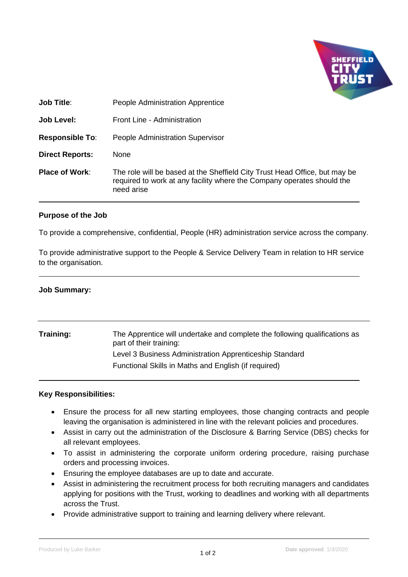

| <b>Job Title:</b>      | People Administration Apprentice                                                                                                                                   |
|------------------------|--------------------------------------------------------------------------------------------------------------------------------------------------------------------|
| Job Level:             | Front Line - Administration                                                                                                                                        |
| <b>Responsible To:</b> | <b>People Administration Supervisor</b>                                                                                                                            |
| <b>Direct Reports:</b> | None                                                                                                                                                               |
| <b>Place of Work:</b>  | The role will be based at the Sheffield City Trust Head Office, but may be<br>required to work at any facility where the Company operates should the<br>need arise |

## **Purpose of the Job**

To provide a comprehensive, confidential, People (HR) administration service across the company.

To provide administrative support to the People & Service Delivery Team in relation to HR service to the organisation.

## **Job Summary:**

| Training: | The Apprentice will undertake and complete the following qualifications as<br>part of their training: |
|-----------|-------------------------------------------------------------------------------------------------------|
|           | Level 3 Business Administration Apprenticeship Standard                                               |
|           | Functional Skills in Maths and English (if required)                                                  |

## **Key Responsibilities:**

- Ensure the process for all new starting employees, those changing contracts and people leaving the organisation is administered in line with the relevant policies and procedures.
- Assist in carry out the administration of the Disclosure & Barring Service (DBS) checks for all relevant employees.
- To assist in administering the corporate uniform ordering procedure, raising purchase orders and processing invoices.
- Ensuring the employee databases are up to date and accurate.
- Assist in administering the recruitment process for both recruiting managers and candidates applying for positions with the Trust, working to deadlines and working with all departments across the Trust.
- Provide administrative support to training and learning delivery where relevant.